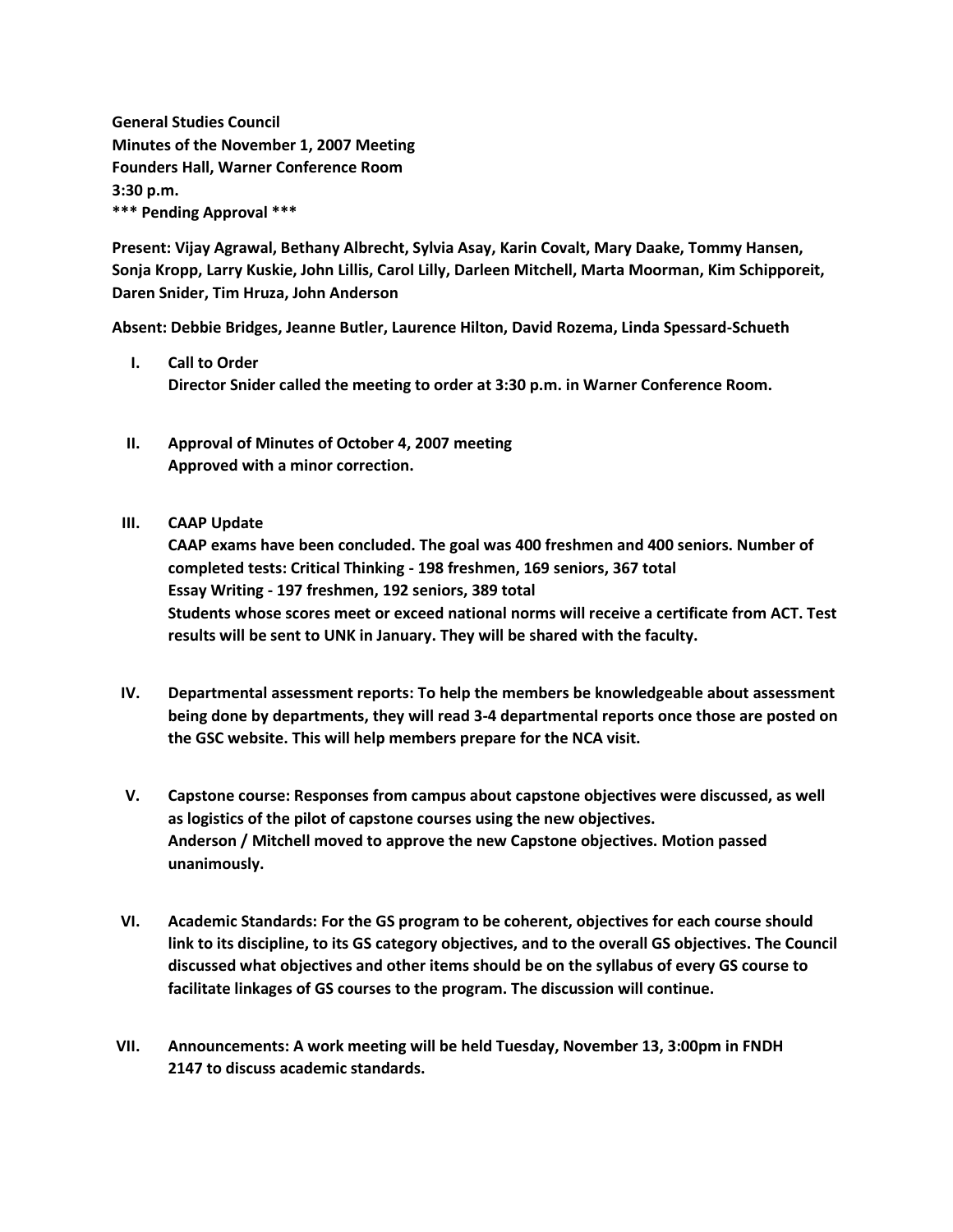**General Studies Council Minutes of the November 1, 2007 Meeting Founders Hall, Warner Conference Room 3:30 p.m. \*\*\* Pending Approval \*\*\***

**Present: Vijay Agrawal, Bethany Albrecht, Sylvia Asay, Karin Covalt, Mary Daake, Tommy Hansen, Sonja Kropp, Larry Kuskie, John Lillis, Carol Lilly, Darleen Mitchell, Marta Moorman, Kim Schipporeit, Daren Snider, Tim Hruza, John Anderson**

**Absent: Debbie Bridges, Jeanne Butler, Laurence Hilton, David Rozema, Linda Spessard-Schueth**

- **I. Call to Order Director Snider called the meeting to order at 3:30 p.m. in Warner Conference Room.**
- **II. Approval of Minutes of October 4, 2007 meeting Approved with a minor correction.**
- **III. CAAP Update**

**CAAP exams have been concluded. The goal was 400 freshmen and 400 seniors. Number of completed tests: Critical Thinking - 198 freshmen, 169 seniors, 367 total Essay Writing - 197 freshmen, 192 seniors, 389 total Students whose scores meet or exceed national norms will receive a certificate from ACT. Test results will be sent to UNK in January. They will be shared with the faculty.**

- **IV. Departmental assessment reports: To help the members be knowledgeable about assessment being done by departments, they will read 3-4 departmental reports once those are posted on the GSC website. This will help members prepare for the NCA visit.**
- **V. Capstone course: Responses from campus about capstone objectives were discussed, as well as logistics of the pilot of capstone courses using the new objectives. Anderson / Mitchell moved to approve the new Capstone objectives. Motion passed unanimously.**
- **VI. Academic Standards: For the GS program to be coherent, objectives for each course should link to its discipline, to its GS category objectives, and to the overall GS objectives. The Council discussed what objectives and other items should be on the syllabus of every GS course to facilitate linkages of GS courses to the program. The discussion will continue.**
- **VII. Announcements: A work meeting will be held Tuesday, November 13, 3:00pm in FNDH 2147 to discuss academic standards.**